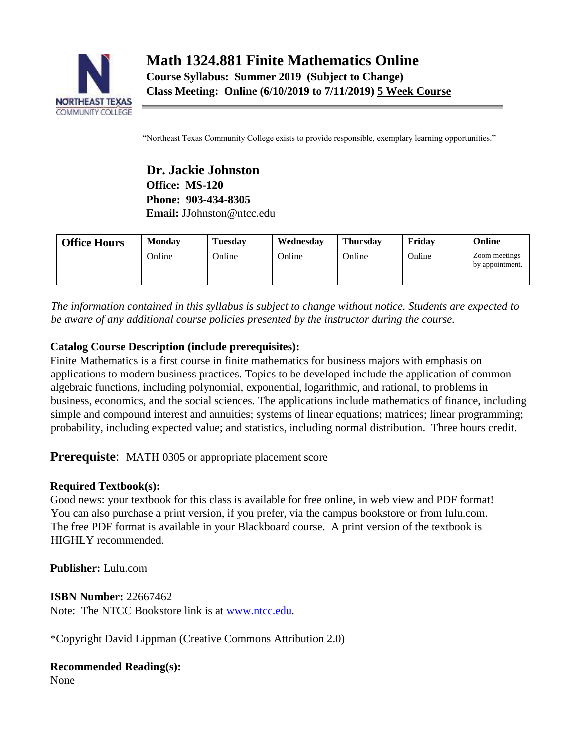

"Northeast Texas Community College exists to provide responsible, exemplary learning opportunities."

**Dr. Jackie Johnston Office: MS-120 Phone: 903-434-8305 Email:** JJohnston@ntcc.edu

| <b>Office Hours</b> | <b>Monday</b> | <b>Tuesday</b> | Wednesday | <b>Thursday</b> | Fridav | Online                           |
|---------------------|---------------|----------------|-----------|-----------------|--------|----------------------------------|
|                     | Online        | Online         | Online    | Online          | Online | Zoom meetings<br>by appointment. |

*The information contained in this syllabus is subject to change without notice. Students are expected to be aware of any additional course policies presented by the instructor during the course.* 

## **Catalog Course Description (include prerequisites):**

Finite Mathematics is a first course in finite mathematics for business majors with emphasis on applications to modern business practices. Topics to be developed include the application of common algebraic functions, including polynomial, exponential, logarithmic, and rational, to problems in business, economics, and the social sciences. The applications include mathematics of finance, including simple and compound interest and annuities; systems of linear equations; matrices; linear programming; probability, including expected value; and statistics, including normal distribution. Three hours credit.

# **Prerequiste:** MATH 0305 or appropriate placement score

## **Required Textbook(s):**

Good news: your textbook for this class is available for free online, in web view and PDF format! You can also purchase a print version, if you prefer, via the campus bookstore or from lulu.com. The free PDF format is available in your Blackboard course. A print version of the textbook is HIGHLY recommended.

**Publisher:** Lulu.com

**ISBN Number:** 22667462 Note: The NTCC Bookstore link is at [www.ntcc.edu.](http://www.ntcc.edu/)

\*Copyright David Lippman (Creative Commons Attribution 2.0)

## **Recommended Reading(s):**

None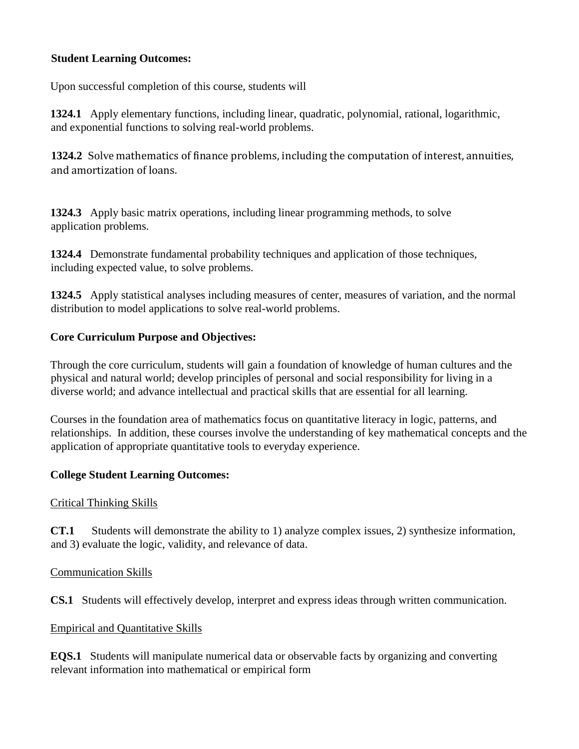### **Student Learning Outcomes:**

Upon successful completion of this course, students will

**1324.1** Apply elementary functions, including linear, quadratic, polynomial, rational, logarithmic, and exponential functions to solving real-world problems.

**1324.2** Solve mathematics of finance problems, including the computation of interest, annuities, and amortization of loans.

**1324.3** Apply basic matrix operations, including linear programming methods, to solve application problems.

**1324.4** Demonstrate fundamental probability techniques and application of those techniques, including expected value, to solve problems.

**1324.5** Apply statistical analyses including measures of center, measures of variation, and the normal distribution to model applications to solve real-world problems.

### **Core Curriculum Purpose and Objectives:**

Through the core curriculum, students will gain a foundation of knowledge of human cultures and the physical and natural world; develop principles of personal and social responsibility for living in a diverse world; and advance intellectual and practical skills that are essential for all learning.

Courses in the foundation area of mathematics focus on quantitative literacy in logic, patterns, and relationships. In addition, these courses involve the understanding of key mathematical concepts and the application of appropriate quantitative tools to everyday experience.

### **College Student Learning Outcomes:**

### Critical Thinking Skills

**CT.1** Students will demonstrate the ability to 1) analyze complex issues, 2) synthesize information, and 3) evaluate the logic, validity, and relevance of data.

### Communication Skills

**CS.1** Students will effectively develop, interpret and express ideas through written communication.

### Empirical and Quantitative Skills

**EQS.1** Students will manipulate numerical data or observable facts by organizing and converting relevant information into mathematical or empirical form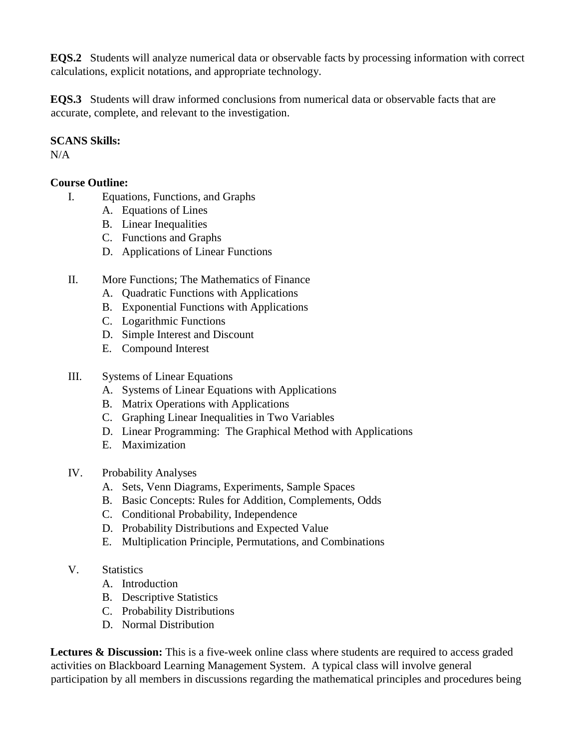**EQS.2** Students will analyze numerical data or observable facts by processing information with correct calculations, explicit notations, and appropriate technology.

**EQS.3** Students will draw informed conclusions from numerical data or observable facts that are accurate, complete, and relevant to the investigation.

### **SCANS Skills:**

 $N/A$ 

## **Course Outline:**

- I. Equations, Functions, and Graphs
	- A. Equations of Lines
	- B. Linear Inequalities
	- C. Functions and Graphs
	- D. Applications of Linear Functions
- II. More Functions; The Mathematics of Finance
	- A. Quadratic Functions with Applications
	- B. Exponential Functions with Applications
	- C. Logarithmic Functions
	- D. Simple Interest and Discount
	- E. Compound Interest
- III. Systems of Linear Equations
	- A. Systems of Linear Equations with Applications
	- B. Matrix Operations with Applications
	- C. Graphing Linear Inequalities in Two Variables
	- D. Linear Programming: The Graphical Method with Applications
	- E. Maximization
- IV. Probability Analyses
	- A. Sets, Venn Diagrams, Experiments, Sample Spaces
	- B. Basic Concepts: Rules for Addition, Complements, Odds
	- C. Conditional Probability, Independence
	- D. Probability Distributions and Expected Value
	- E. Multiplication Principle, Permutations, and Combinations
- V. Statistics
	- A. Introduction
	- B. Descriptive Statistics
	- C. Probability Distributions
	- D. Normal Distribution

**Lectures & Discussion:** This is a five-week online class where students are required to access graded activities on Blackboard Learning Management System. A typical class will involve general participation by all members in discussions regarding the mathematical principles and procedures being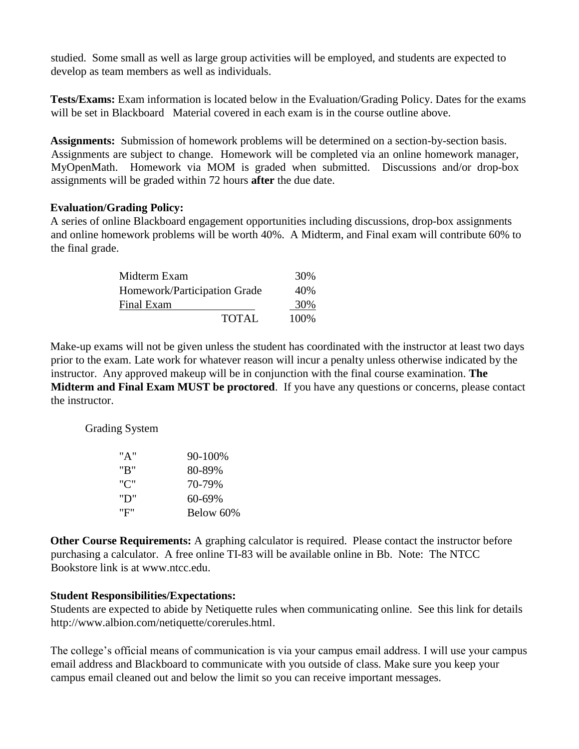studied. Some small as well as large group activities will be employed, and students are expected to develop as team members as well as individuals.

**Tests/Exams:** Exam information is located below in the Evaluation/Grading Policy. Dates for the exams will be set in Blackboard Material covered in each exam is in the course outline above.

**Assignments:** Submission of homework problems will be determined on a section-by-section basis. Assignments are subject to change. Homework will be completed via an online homework manager, MyOpenMath. Homework via MOM is graded when submitted. Discussions and/or drop-box assignments will be graded within 72 hours **after** the due date.

#### **Evaluation/Grading Policy:**

A series of online Blackboard engagement opportunities including discussions, drop-box assignments and online homework problems will be worth 40%. A Midterm, and Final exam will contribute 60% to the final grade.

| Midterm Exam                 |              | 30%   |
|------------------------------|--------------|-------|
| Homework/Participation Grade | 40%          |       |
| Final Exam                   |              | 30%   |
|                              | <b>TOTAL</b> | 100\% |

Make-up exams will not be given unless the student has coordinated with the instructor at least two days prior to the exam. Late work for whatever reason will incur a penalty unless otherwise indicated by the instructor. Any approved makeup will be in conjunction with the final course examination. **The Midterm and Final Exam MUST be proctored**. If you have any questions or concerns, please contact the instructor.

Grading System

| "A" | $90 - 100\%$ |
|-----|--------------|
| "R" | 80-89%       |
| "י" | 70-79%       |
| "D" | 60-69%       |
| "F" | Below 60%    |

**Other Course Requirements:** A graphing calculator is required. Please contact the instructor before purchasing a calculator. A free online TI-83 will be available online in Bb. Note: The NTCC Bookstore link is [at www.ntcc.edu.](http://www.ntcc.edu/)

#### **Student Responsibilities/Expectations:**

Students are expected to abide by Netiquette rules when communicating online. See this link for details http://www.albion.com/netiquette/corerules.html.

The college's official means of communication is via your campus email address. I will use your campus email address and Blackboard to communicate with you outside of class. Make sure you keep your campus email cleaned out and below the limit so you can receive important messages.